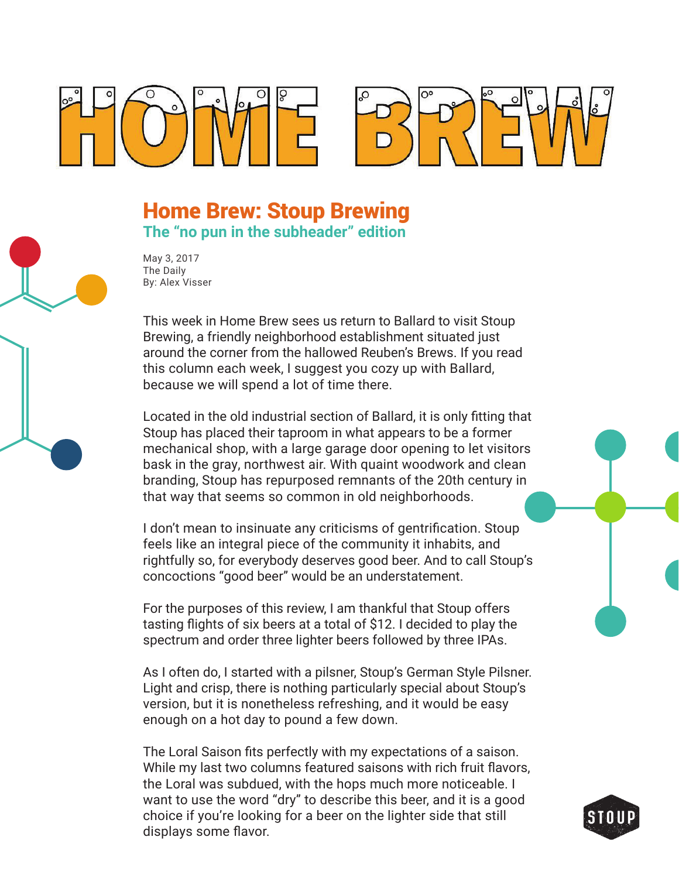



## Home Brew: Stoup Brewing **The "no pun in the subheader" edition**

May 3, 2017 The Daily By: Alex Visser

This week in Home Brew sees us return to Ballard to visit Stoup Brewing, a friendly neighborhood establishment situated just around the corner from the hallowed Reuben's Brews. If you read this column each week, I suggest you cozy up with Ballard, because we will spend a lot of time there.

Located in the old industrial section of Ballard, it is only fitting that Stoup has placed their taproom in what appears to be a former mechanical shop, with a large garage door opening to let visitors bask in the gray, northwest air. With quaint woodwork and clean branding, Stoup has repurposed remnants of the 20th century in that way that seems so common in old neighborhoods.

I don't mean to insinuate any criticisms of gentrification. Stoup feels like an integral piece of the community it inhabits, and rightfully so, for everybody deserves good beer. And to call Stoup's concoctions "good beer" would be an understatement.

For the purposes of this review, I am thankful that Stoup offers tasting flights of six beers at a total of \$12. I decided to play the spectrum and order three lighter beers followed by three IPAs.

As I often do, I started with a pilsner, Stoup's German Style Pilsner. Light and crisp, there is nothing particularly special about Stoup's version, but it is nonetheless refreshing, and it would be easy enough on a hot day to pound a few down.

The Loral Saison fits perfectly with my expectations of a saison. While my last two columns featured saisons with rich fruit flavors, the Loral was subdued, with the hops much more noticeable. I want to use the word "dry" to describe this beer, and it is a good choice if you're looking for a beer on the lighter side that still displays some flavor.